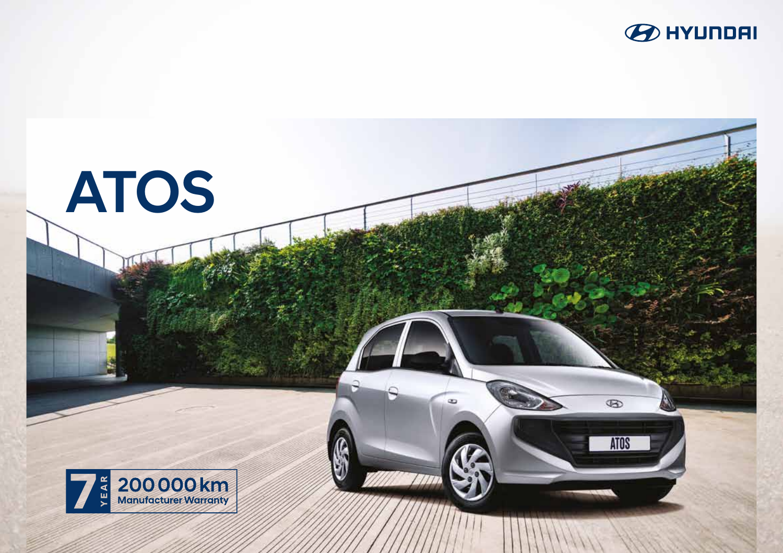

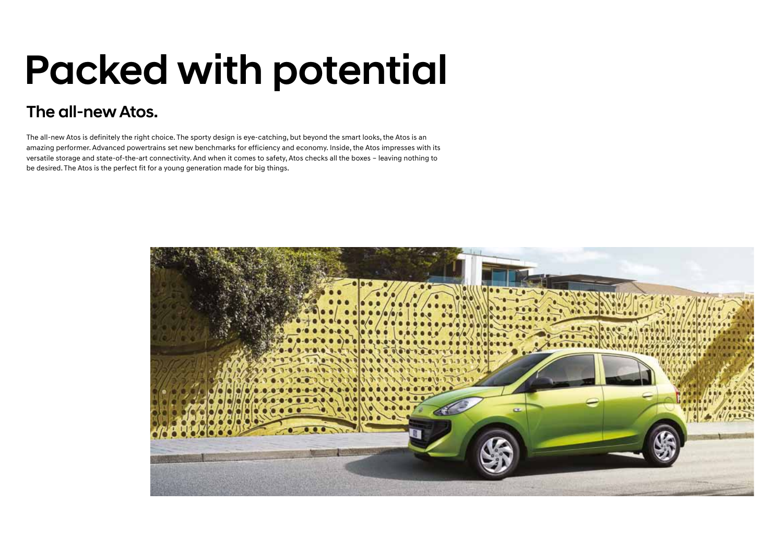# Packed with potential

### The all-new Atos.

The all-new Atos is definitely the right choice. The sporty design is eye-catching, but beyond the smart looks, the Atos is an amazing performer. Advanced powertrains set new benchmarks for efficiency and economy. Inside, the Atos impresses with its versatile storage and state-of-the-art connectivity. And when it comes to safety, Atos checks all the boxes – leaving nothing to be desired. The Atos is the perfect fit for a young generation made for big things.

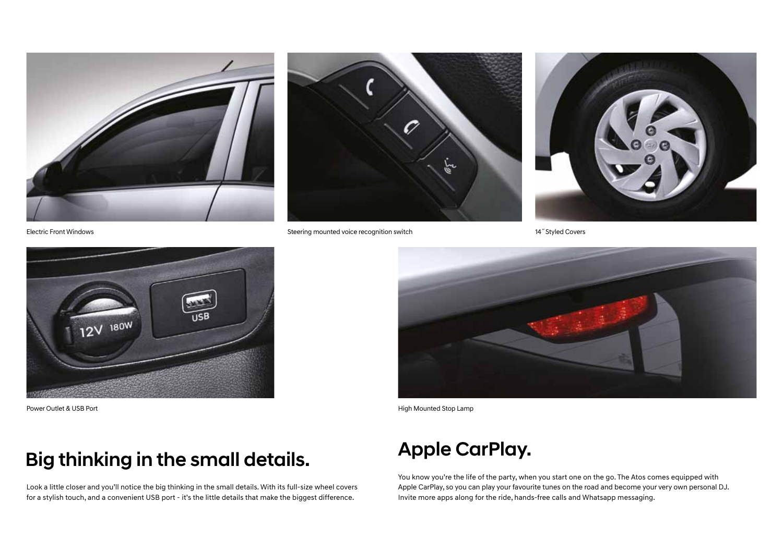



Electric Front Windows Steering mounted voice recognition switch 14˝Styled Covers





## Big thinking in the small details.

Look a little closer and you'll notice the big thinking in the small details. With its full-size wheel covers for a stylish touch, and a convenient USB port - it's the little details that make the biggest difference.



Power Outlet & USB Port **Accord Polymer Controller Controller Controller Controller Controller Controller Controller Controller Controller Controller Controller Controller Controller Controller Controller Controller Contro** 

## Apple CarPlay.

You know you're the life of the party, when you start one on the go. The Atos comes equipped with Apple CarPlay, so you can play your favourite tunes on the road and become your very own personal DJ. Invite more apps along for the ride, hands-free calls and Whatsapp messaging.